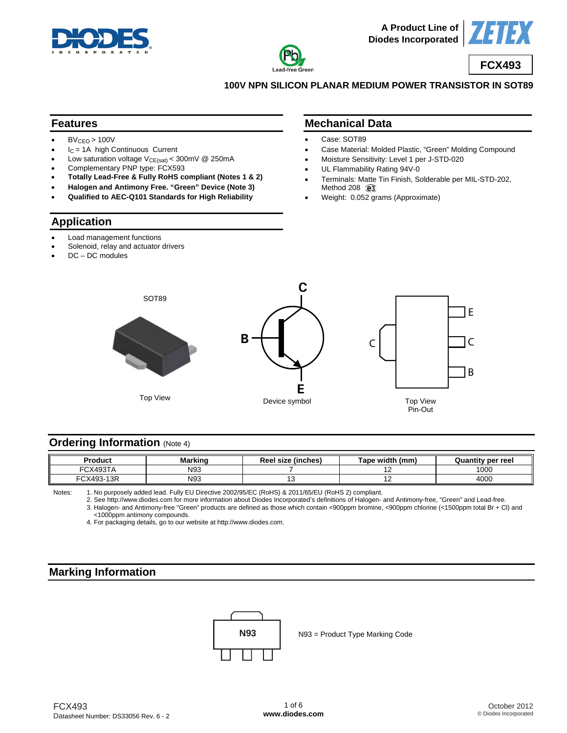





**100V NPN SILICON PLANAR MEDIUM POWER TRANSISTOR IN SOT89** 

#### **Features**

- $BV_{CEO} > 100V$
- $I_C = 1A$  high Continuous Current
- Low saturation voltage  $V_{CE(sat)} < 300$ mV @ 250mA
- Complementary PNP type: FCX593
- **Totally Lead-Free & Fully RoHS compliant (Notes 1 & 2)**
- **Halogen and Antimony Free. "Green" Device (Note 3)**
- **Qualified to AEC-Q101 Standards for High Reliability**

#### **Application**

- Load management functions
- Solenoid, relay and actuator drivers
- DC DC modules

## **Mechanical Data**

- Case: SOT89
- Case Material: Molded Plastic, "Green" Molding Compound
- Moisture Sensitivity: Level 1 per J-STD-020
- UL Flammability Rating 94V-0
- Terminals: Matte Tin Finish, Solderable per MIL-STD-202, Method 208 @3
- Weight: 0.052 grams (Approximate)



## **Ordering Information (Note 4)**

| Product                                | <b>Markinc</b> | $\overline{\phantom{a}}$<br>Reel size (inches) | Tape width (mm) | Quantity per reel |
|----------------------------------------|----------------|------------------------------------------------|-----------------|-------------------|
| FCX493T/                               | N93            |                                                | . .             | 1000              |
| -13R<br>$\sqrt{2}$<br>rov<br>.x49°<br> | N93            | ~                                              | $\sim$          | 400C              |

Notes: 1. No purposely added lead. Fully EU Directive 2002/95/EC (RoHS) & 2011/65/EU (RoHS 2) compliant.

 2. See [http://www.diodes.com fo](http://www.diodes.com)r more information about Diodes Incorporated's definitions of Halogen- and Antimony-free, "Green" and Lead-free. 3. Halogen- and Antimony-free "Green" products are defined as those which contain <900ppm bromine, <900ppm chlorine (<1500ppm total Br + Cl) and <1000ppm antimony compounds.

4. For packaging details, go to our website at [http://www.diodes.com.](http://www.diodes.com)

## **Marking Information**



N93 = Product Type Marking Code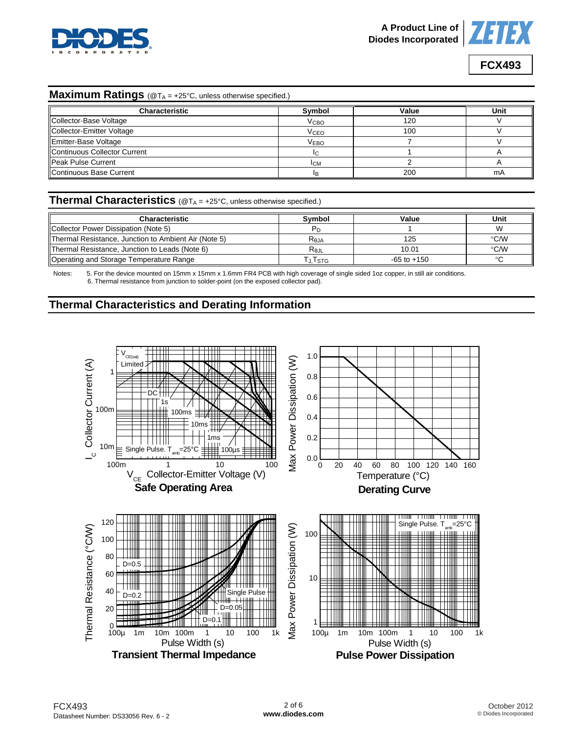



#### **Maximum Ratings** (@TA = +25°C, unless otherwise specified.)

| <b>Characteristic</b>        | Symbol                 | Value | Unit |
|------------------------------|------------------------|-------|------|
| Collector-Base Voltage       | <b>V<sub>CВО</sub></b> | 120   |      |
| Collector-Emitter Voltage    | <b>V<sub>CEO</sub></b> | 100   |      |
| Emitter-Base Voltage         | <b>VEBO</b>            |       |      |
| Continuous Collector Current |                        |       |      |
| <b>Peak Pulse Current</b>    | <b>ICM</b>             |       |      |
| Continuous Base Current      | IB.                    | 200   | mA   |

## **Thermal Characteristics** (@TA = +25°C, unless otherwise specified.)

| <b>Characteristic</b>                                | <b>Symbol</b>     | Value           | Unit          |
|------------------------------------------------------|-------------------|-----------------|---------------|
| Collector Power Dissipation (Note 5)                 |                   |                 |               |
| Thermal Resistance, Junction to Ambient Air (Note 5) | $R_{0,IA}$        | 125             | °C/W          |
| Thermal Resistance, Junction to Leads (Note 6)       | $R_{0,\text{JL}}$ | 10.01           | $\degree$ C/W |
| Operating and Storage Temperature Range              | J. I STG          | $-65$ to $+150$ | $\sim$        |

Notes: 5. For the device mounted on 15mm x 15mm x 1.6mm FR4 PCB with high coverage of single sided 1oz copper, in still air conditions. 6. Thermal resistance from junction to solder-point (on the exposed collector pad).

# **Thermal Characteristics and Derating Information**

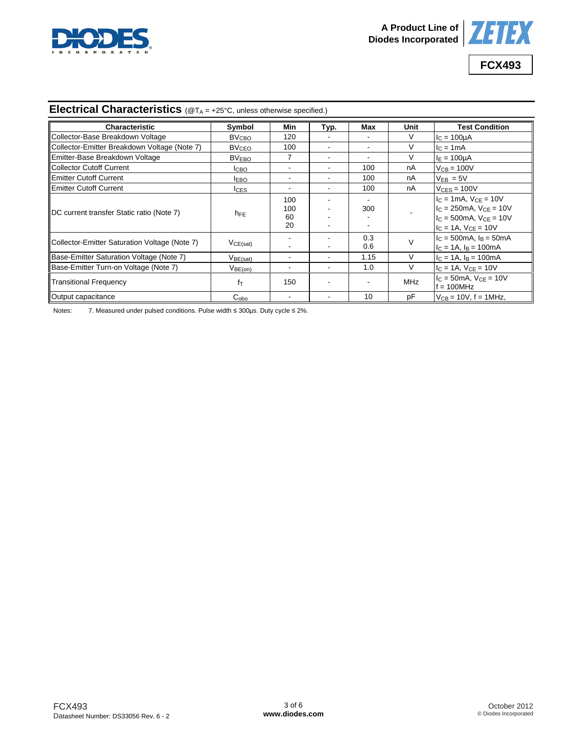



# **Electrical Characteristics** (@TA = +25°C, unless otherwise specified.)

| Characteristic                                | Symbol                  | Min                    | Typ. | Max        | Unit       | <b>Test Condition</b>                                                                                                    |
|-----------------------------------------------|-------------------------|------------------------|------|------------|------------|--------------------------------------------------------------------------------------------------------------------------|
| Collector-Base Breakdown Voltage              | <b>BV<sub>CBO</sub></b> | 120                    |      |            |            | $IC = 100UA$                                                                                                             |
| Collector-Emitter Breakdown Voltage (Note 7)  | <b>BV<sub>CEO</sub></b> | 100                    |      |            |            | $IC = 1mA$                                                                                                               |
| Emitter-Base Breakdown Voltage                | <b>BVEBO</b>            |                        | ۰    |            |            | $I_F = 100 \mu A$                                                                                                        |
| Collector Cutoff Current                      | ICBO                    |                        | ۰    | 100        | nA         | $V_{CB} = 100V$                                                                                                          |
| <b>IEmitter Cutoff Current</b>                | <b>IEBO</b>             | ۰                      |      | 100        | nA         | $V_{FB} = 5V$                                                                                                            |
| <b>Emitter Cutoff Current</b>                 | <b>ICES</b>             | ۰                      |      | 100        | nA         | $V_{CES} = 100V$                                                                                                         |
| DC current transfer Static ratio (Note 7)     | $h_{FE}$                | 100<br>100<br>60<br>20 |      | 300        |            | $I_C = 1mA$ , $V_{CE} = 10V$<br>$IC$ = 250mA, $VCF$ = 10V<br>$c = 500$ mA. $V_{CF} = 10V$<br>$I_C = 1A$ , $V_{CE} = 10V$ |
| Collector-Emitter Saturation Voltage (Note 7) | VCE(sat)                |                        |      | 0.3<br>0.6 |            | $I_C = 500 \text{mA}$ , $I_B = 50 \text{mA}$<br>$I_C = 1A$ , $I_B = 100mA$                                               |
| Base-Emitter Saturation Voltage (Note 7)      | $V_{BE(sat)}$           |                        | ۰    | 1.15       |            | $I_C = 1A$ , $I_B = 100mA$                                                                                               |
| Base-Emitter Turn-on Voltage (Note 7)         | V <sub>BE(on)</sub>     |                        |      | 1.0        | $\vee$     | $I_C = 1A$ , $V_{CE} = 10V$                                                                                              |
| <b>Transitional Frequency</b>                 | $f_{\text{T}}$          | 150                    |      |            | <b>MHz</b> | $IC = 50mA$ , $VCF = 10V$<br>$f = 100 MHz$                                                                               |
| Output capacitance                            | $C_{\rm obo}$           | ۰                      | ۰    | 10         | рF         | $V_{CB}$ = 10V, f = 1MHz,                                                                                                |

Notes: 7. Measured under pulsed conditions. Pulse width ≤ 300μs. Duty cycle ≤ 2%.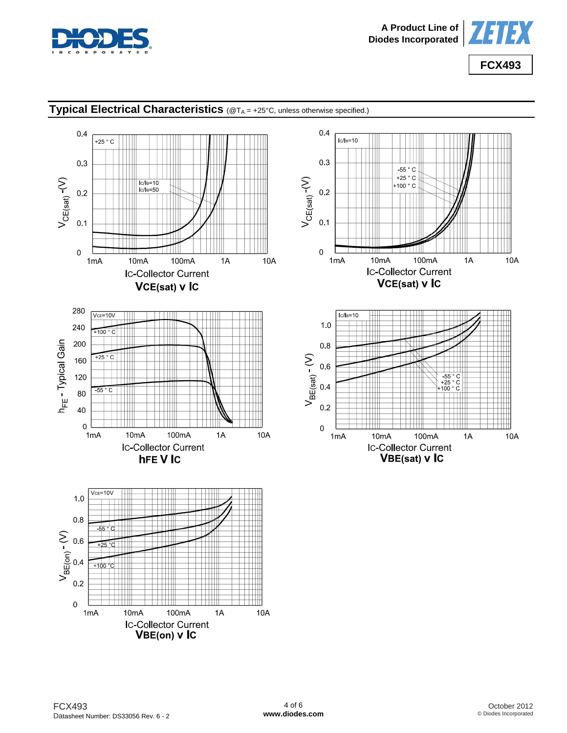



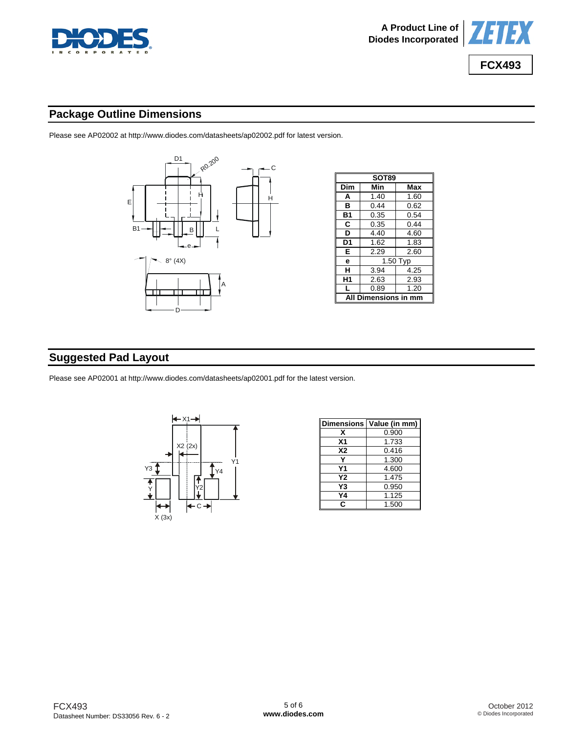



# **Package Outline Dimensions**

Please see AP02002 at [http://www.diodes.com/datasheets/ap02002.pdf fo](http://www.diodes.com/datasheets/ap02002.pdf)r latest version.



| SOT89                |            |      |  |  |
|----------------------|------------|------|--|--|
| Dim                  | Min<br>Max |      |  |  |
| A                    | 1.40       | 1.60 |  |  |
| в                    | 0.44       | 0.62 |  |  |
| Β1                   | 0.35       | 0.54 |  |  |
| C                    | 0.35       | 0.44 |  |  |
| D                    | 4.40       | 4.60 |  |  |
| D1                   | 1.62       | 1.83 |  |  |
| Е                    | 2.29       | 2.60 |  |  |
| е                    | 1.50 Typ   |      |  |  |
| н                    | 3.94       | 4.25 |  |  |
| Η1                   | 2.63       | 2.93 |  |  |
| L                    | 0.89       | 1.20 |  |  |
| All Dimensions in mm |            |      |  |  |

# **Suggested Pad Layout**

Please see AP02001 at [http://www.diodes.com/datasheets/ap02001.pdf fo](http://www.diodes.com/datasheets/ap02001.pdf)r the latest version.



| <b>Dimensions</b> | Value (in mm) |
|-------------------|---------------|
| x                 | 0.900         |
| X <sub>1</sub>    | 1.733         |
| <b>X2</b>         | 0.416         |
|                   | 1.300         |
| Υ1                | 4.600         |
| Υ2                | 1.475         |
| Y3                | 0.950         |
| Υ4                | 1.125         |
| c                 | 1.500         |